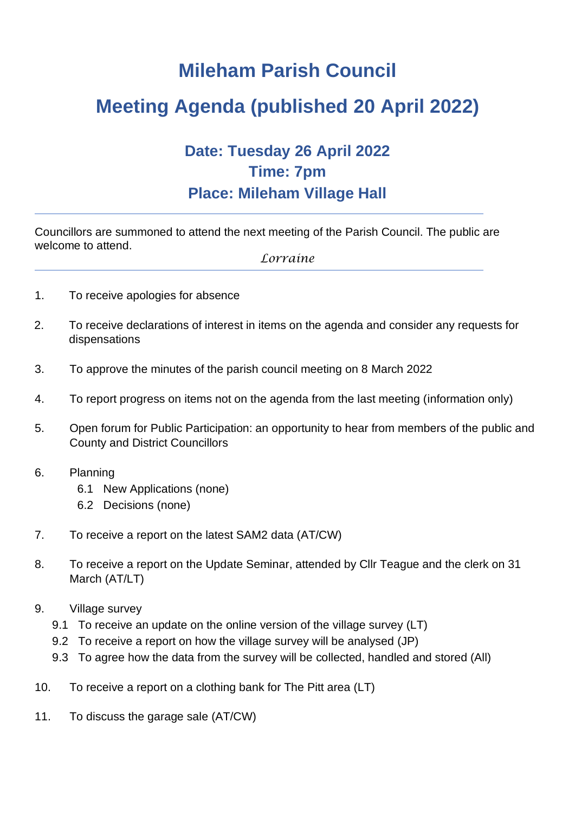## **Mileham Parish Council**

## **Meeting Agenda (published 20 April 2022)**

## **Date: Tuesday 26 April 2022 Time: 7pm Place: Mileham Village Hall**

Councillors are summoned to attend the next meeting of the Parish Council. The public are welcome to attend.

*Lorraine*

- 1. To receive apologies for absence
- 2. To receive declarations of interest in items on the agenda and consider any requests for dispensations
- 3. To approve the minutes of the parish council meeting on 8 March 2022
- 4. To report progress on items not on the agenda from the last meeting (information only)
- 5. Open forum for Public Participation: an opportunity to hear from members of the public and County and District Councillors
- 6. Planning
	- 6.1 New Applications (none)
	- 6.2 Decisions (none)
- 7. To receive a report on the latest SAM2 data (AT/CW)
- 8. To receive a report on the Update Seminar, attended by Cllr Teague and the clerk on 31 March (AT/LT)
- 9. Village survey
	- 9.1 To receive an update on the online version of the village survey (LT)
	- 9.2 To receive a report on how the village survey will be analysed (JP)
	- 9.3 To agree how the data from the survey will be collected, handled and stored (All)
- 10. To receive a report on a clothing bank for The Pitt area (LT)
- 11. To discuss the garage sale (AT/CW)